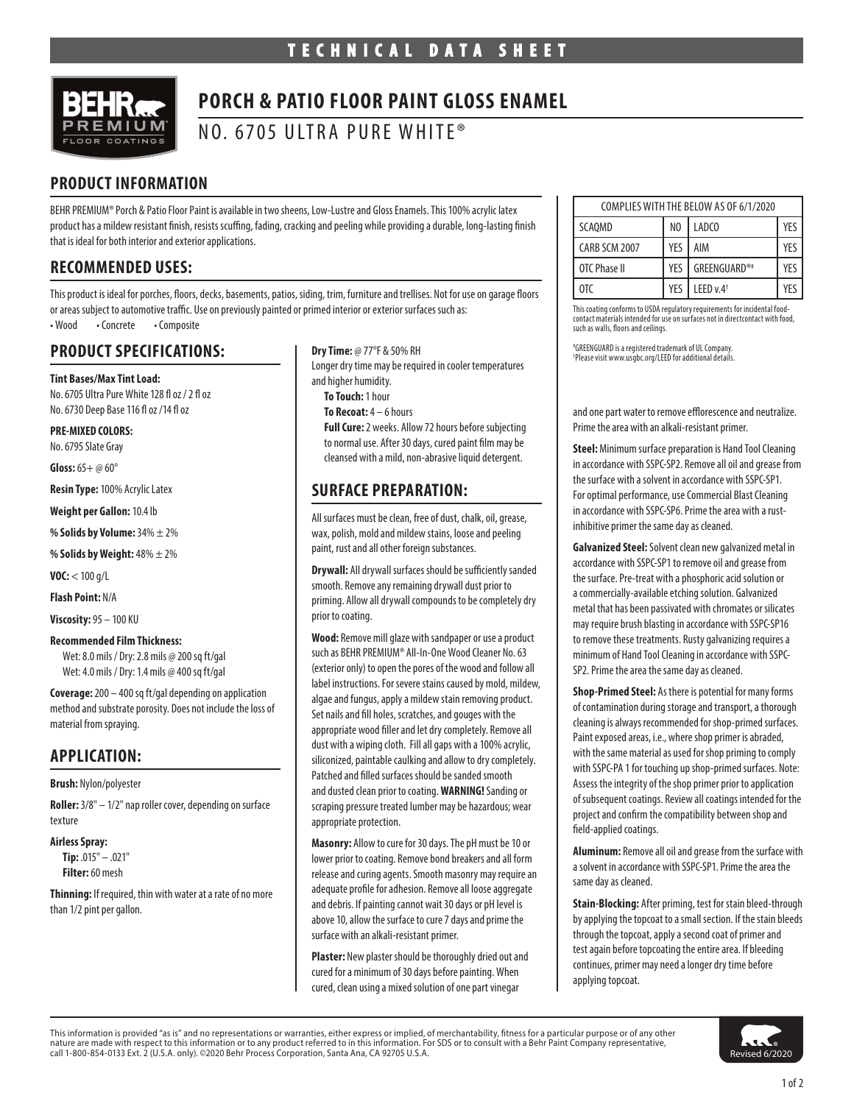

# **PORCH & PATIO FLOOR PAINT GLOSS ENAMEL**

NO. 6705 ULTRA PURE WHITE®

## **PRODUCT INFORMATION**

BEHR PREMIUM® Porch & Patio Floor Paint is available in two sheens, Low-Lustre and Gloss Enamels. This 100% acrylic latex product has a mildew resistant finish, resists scuffing, fading, cracking and peeling while providing a durable, long-lasting finish that is ideal for both interior and exterior applications.

### **RECOMMENDED USES:**

This product is ideal for porches, floors, decks, basements, patios, siding, trim, furniture and trellises. Not for use on garage floors or areas subject to automotive traffic. Use on previously painted or primed interior or exterior surfaces such as: • Wood • Concrete • Composite

### **PRODUCT SPECIFICATIONS:**

**Tint Bases/Max Tint Load:**  No. 6705 Ultra Pure White 128 fl oz / 2 fl oz No. 6730 Deep Base 116 fl oz /14 fl oz

**PRE-MIXED COLORS:** 

No. 6795 Slate Gray

**Gloss:** 65+ @ 60°

**Resin Type:** 100% Acrylic Latex

**Weight per Gallon:** 10.4 lb

**% Solids by Volume:** 34% ± 2%

**% Solids by Weight:** 48% ± 2%

**VOC:** < 100 g/L

**Flash Point:** N/A

**Viscosity:** 95 – 100 KU

#### **Recommended Film Thickness:**

Wet: 8.0 mils / Dry: 2.8 mils @ 200 sq ft/gal Wet: 4.0 mils / Dry: 1.4 mils @ 400 sq ft/gal

**Coverage:** 200 – 400 sq ft/gal depending on application method and substrate porosity. Does not include the loss of material from spraying.

### **APPLICATION:**

#### **Brush:** Nylon/polyester

**Roller:** 3/8" – 1/2" nap roller cover, depending on surface texture

#### **Airless Spray:**

**Tip:** .015" – .021" **Filter:** 60 mesh

**Thinning:** If required, thin with water at a rate of no more than 1/2 pint per gallon.

**Dry Time:** @ 77°F & 50% RH Longer dry time may be required in cooler temperatures and higher humidity. **To Touch:** 1 hour **To Recoat:** 4 – 6 hours **Full Cure:** 2 weeks. Allow 72 hours before subjecting to normal use. After 30 days, cured paint film may be cleansed with a mild, non-abrasive liquid detergent.

### **SURFACE PREPARATION:**

All surfaces must be clean, free of dust, chalk, oil, grease, wax, polish, mold and mildew stains, loose and peeling paint, rust and all other foreign substances.

**Drywall:** All drywall surfaces should be sufficiently sanded smooth. Remove any remaining drywall dust prior to priming. Allow all drywall compounds to be completely dry prior to coating.

**Wood:** Remove mill glaze with sandpaper or use a product such as BEHR PREMIUM® All-In-One Wood Cleaner No. 63 (exterior only) to open the pores of the wood and follow all label instructions. For severe stains caused by mold, mildew, algae and fungus, apply a mildew stain removing product. Set nails and fill holes, scratches, and gouges with the appropriate wood filler and let dry completely. Remove all dust with a wiping cloth. Fill all gaps with a 100% acrylic, siliconized, paintable caulking and allow to dry completely. Patched and filled surfaces should be sanded smooth and dusted clean prior to coating. **WARNING!** Sanding or scraping pressure treated lumber may be hazardous; wear appropriate protection.

**Masonry:** Allow to cure for 30 days. The pH must be 10 or lower prior to coating. Remove bond breakers and all form release and curing agents. Smooth masonry may require an adequate profile for adhesion. Remove all loose aggregate and debris. If painting cannot wait 30 days or pH level is above 10, allow the surface to cure 7 days and prime the surface with an alkali-resistant primer.

**Plaster:** New plaster should be thoroughly dried out and cured for a minimum of 30 days before painting. When cured, clean using a mixed solution of one part vinegar

| COMPLIES WITH THE BELOW AS OF 6/1/2020 |     |                        |     |
|----------------------------------------|-----|------------------------|-----|
| SCAQMD                                 | NO  | LADC <sub>0</sub>      | YFS |
| CARB SCM 2007                          | YFS | AIM                    | YFS |
| OTC Phase II                           | YFS | GREENGUARD®#           | YFS |
| 0T <sub>C</sub>                        | YFS | I EED v.4 <sup>+</sup> | YF۲ |

This coating conforms to USDA regulatory requirements for incidental foodcontact materials intended for use on surfaces not in directcontact with food, such as walls, floors and ceilings.

# GREENGUARD is a registered trademark of UL Company. † Please visit www.usgbc.org/LEED for additional details.

and one part water to remove efflorescence and neutralize. Prime the area with an alkali-resistant primer.

**Steel:** Minimum surface preparation is Hand Tool Cleaning in accordance with SSPC-SP2. Remove all oil and grease from the surface with a solvent in accordance with SSPC-SP1. For optimal performance, use Commercial Blast Cleaning in accordance with SSPC-SP6. Prime the area with a rustinhibitive primer the same day as cleaned.

**Galvanized Steel:** Solvent clean new galvanized metal in accordance with SSPC-SP1 to remove oil and grease from the surface. Pre-treat with a phosphoric acid solution or a commercially-available etching solution. Galvanized metal that has been passivated with chromates or silicates may require brush blasting in accordance with SSPC-SP16 to remove these treatments. Rusty galvanizing requires a minimum of Hand Tool Cleaning in accordance with SSPC-SP2. Prime the area the same day as cleaned.

**Shop-Primed Steel:** As there is potential for many forms of contamination during storage and transport, a thorough cleaning is always recommended for shop-primed surfaces. Paint exposed areas, i.e., where shop primer is abraded, with the same material as used for shop priming to comply with SSPC-PA 1 for touching up shop-primed surfaces. Note: Assess the integrity of the shop primer prior to application of subsequent coatings. Review all coatings intended for the project and confirm the compatibility between shop and field-applied coatings.

**Aluminum:** Remove all oil and grease from the surface with a solvent in accordance with SSPC-SP1. Prime the area the same day as cleaned.

**Stain-Blocking:** After priming, test for stain bleed-through by applying the topcoat to a small section. If the stain bleeds through the topcoat, apply a second coat of primer and test again before topcoating the entire area. If bleeding continues, primer may need a longer dry time before applying topcoat.



This information is provided "as is" and no representations or warranties, either express or implied, of merchantability, fitness for a particular purpose or of any other nature are made with respect to this information or to any product referred to in this information. For SDS or to consult with a Behr Paint Company representative, **the consult of the Consult of the Consult of the Consult**